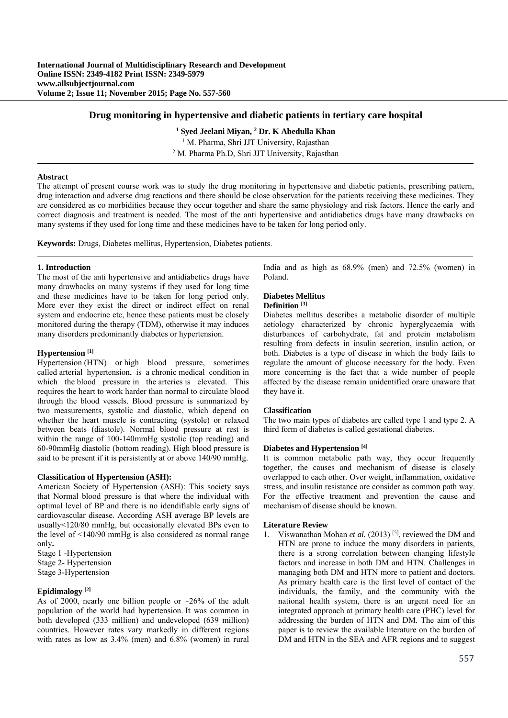### **Drug monitoring in hypertensive and diabetic patients in tertiary care hospital**

<sup>1</sup> Syed Jeelani Miyan, <sup>2</sup> Dr. K Abedulla Khan

<sup>1</sup> M. Pharma, Shri JJT University, Rajasthan <sup>2</sup> M. Pharma Ph.D. Shri JJT University, Rajasth <sup>2</sup> M. Pharma Ph.D, Shri JJT University, Rajasthan

#### **Abstract**

The attempt of present course work was to study the drug monitoring in hypertensive and diabetic patients, prescribing pattern, drug interaction and adverse drug reactions and there should be close observation for the patients receiving these medicines. They are considered as co morbidities because they occur together and share the same physiology and risk factors. Hence the early and correct diagnosis and treatment is needed. The most of the anti hypertensive and antidiabetics drugs have many drawbacks on many systems if they used for long time and these medicines have to be taken for long period only.

**Keywords:** Drugs, Diabetes mellitus, Hypertension, Diabetes patients.

#### **1. Introduction**

The most of the anti hypertensive and antidiabetics drugs have many drawbacks on many systems if they used for long time and these medicines have to be taken for long period only. More ever they exist the direct or indirect effect on renal system and endocrine etc, hence these patients must be closely monitored during the therapy (TDM), otherwise it may induces many disorders predominantly diabetes or hypertension.

## **Hypertension [1]**

Hypertension (HTN) or high blood pressure, sometimes called arterial hypertension, is a chronic medical condition in which the blood pressure in the arteries is elevated. This requires the heart to work harder than normal to circulate blood through the blood vessels. Blood pressure is summarized by two measurements, systolic and diastolic, which depend on whether the heart muscle is contracting (systole) or relaxed between beats (diastole). Normal blood pressure at rest is within the range of 100-140mmHg systolic (top reading) and 60-90mmHg diastolic (bottom reading). High blood pressure is said to be present if it is persistently at or above 140/90 mmHg.

#### **Classification of Hypertension (ASH):**

American Society of Hypertension (ASH): This society says that Normal blood pressure is that where the individual with optimal level of BP and there is no idendifiable early signs of cardiovascular disease. According ASH average BP levels are usually<120/80 mmHg, but occasionally elevated BPs even to the level of <140/90 mmHg is also considered as normal range only**.** 

Stage 1 -Hypertension Stage 2- Hypertension Stage 3-Hypertension

## **Epidimalogy [2]**

As of 2000, nearly one billion people or  $\sim$  26% of the adult population of the world had hypertension. It was common in both developed (333 million) and undeveloped (639 million) countries. However rates vary markedly in different regions with rates as low as 3.4% (men) and 6.8% (women) in rural India and as high as 68.9% (men) and 72.5% (women) in Poland.

# **Diabetes Mellitus**

# **Definition [3]**

Diabetes mellitus describes a metabolic disorder of multiple aetiology characterized by chronic hyperglycaemia with disturbances of carbohydrate, fat and protein metabolism resulting from defects in insulin secretion, insulin action, or both. Diabetes is a type of disease in which the body fails to regulate the amount of glucose necessary for the body. Even more concerning is the fact that a wide number of people affected by the disease remain unidentified orare unaware that they have it.

### **Classification**

The two main types of diabetes are called type 1 and type 2. A third form of diabetes is called gestational diabetes.

#### **Diabetes and Hypertension [4]**

It is common metabolic path way, they occur frequently together, the causes and mechanism of disease is closely overlapped to each other. Over weight, inflammation, oxidative stress, and insulin resistance are consider as common path way. For the effective treatment and prevention the cause and mechanism of disease should be known.

#### **Literature Review**

1. Viswanathan Mohan *et al.* (2013) [5], reviewed the DM and HTN are prone to induce the many disorders in patients, there is a strong correlation between changing lifestyle factors and increase in both DM and HTN. Challenges in managing both DM and HTN more to patient and doctors. As primary health care is the first level of contact of the individuals, the family, and the community with the national health system, there is an urgent need for an integrated approach at primary health care (PHC) level for addressing the burden of HTN and DM. The aim of this paper is to review the available literature on the burden of DM and HTN in the SEA and AFR regions and to suggest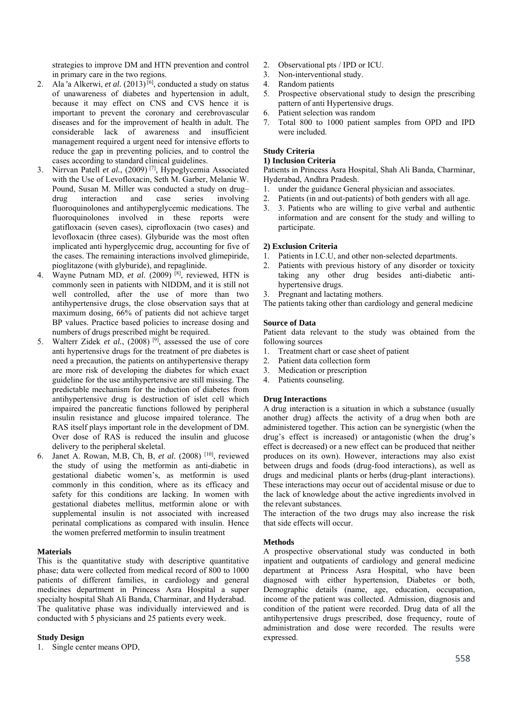strategies to improve DM and HTN prevention and control in primary care in the two regions.

- 2. Ala 'a Alkerwi, *et al.*  $(2013)$ <sup>[6]</sup>, conducted a study on status of unawareness of diabetes and hypertension in adult, because it may effect on CNS and CVS hence it is important to prevent the coronary and cerebrovascular diseases and for the improvement of health in adult. The considerable lack of awareness and insufficient management required a urgent need for intensive efforts to reduce the gap in preventing policies, and to control the cases according to standard clinical guidelines.
- 3. Nirrvan Patell *et al.*, (2009) [7], Hypoglycemia Associated with the Use of Levofloxacin, Seth M. Garber, Melanie W. Pound, Susan M. Miller was conducted a study on drug– drug interaction and case series involving fluoroquinolones and antihyperglycemic medications. The fluoroquinolones involved in these reports were gatifloxacin (seven cases), ciprofloxacin (two cases) and levofloxacin (three cases). Glyburide was the most often implicated anti hyperglycemic drug, accounting for five of the cases. The remaining interactions involved glimepiride, pioglitazone (with glyburide), and repaglinide.
- 4. Wayne Putnam MD, *et al.* (2009) [8], reviewed, HTN is commonly seen in patients with NIDDM, and it is still not well controlled, after the use of more than two antihypertensive drugs, the close observation says that at maximum dosing, 66% of patients did not achieve target BP values. Practice based policies to increase dosing and numbers of drugs prescribed might be required.
- 5. Walterr Zidek *et al.*, (2008) [9], assessed the use of core anti hypertensive drugs for the treatment of pre diabetes is need a precaution, the patients on antihypertensive therapy are more risk of developing the diabetes for which exact guideline for the use antihypertensive are still missing. The predictable mechanism for the induction of diabetes from antihypertensive drug is destruction of islet cell which impaired the pancreatic functions followed by peripheral insulin resistance and glucose impaired tolerance. The RAS itself plays important role in the development of DM. Over dose of RAS is reduced the insulin and glucose delivery to the peripheral skeletal.
- 6. Janet A. Rowan, M.B, Ch, B, *et al.* (2008) [10], reviewed the study of using the metformin as anti-diabetic in gestational diabetic women's, as metformin is used commonly in this condition, where as its efficacy and safety for this conditions are lacking. In women with gestational diabetes mellitus, metformin alone or with supplemental insulin is not associated with increased perinatal complications as compared with insulin. Hence the women preferred metformin to insulin treatment

### **Materials**

This is the quantitative study with descriptive quantitative phase; data were collected from medical record of 800 to 1000 patients of different families, in cardiology and general medicines department in Princess Asra Hospital a super specialty hospital Shah Ali Banda, Charminar, and Hyderabad. The qualitative phase was individually interviewed and is conducted with 5 physicians and 25 patients every week.

## **Study Design**

1. Single center means OPD,

- 2. Observational pts / IPD or ICU.
- 3. Non-interventional study.
- 4. Random patients
- 5. Prospective observational study to design the prescribing pattern of anti Hypertensive drugs.
- 6. Patient selection was random
- 7. Total 800 to 1000 patient samples from OPD and IPD were included.

# **Study Criteria**

### **1) Inclusion Criteria**

Patients in Princess Asra Hospital, Shah Ali Banda, Charminar, Hyderabad, Andhra Pradesh.

- 1. under the guidance General physician and associates.
- 2. Patients (in and out-patients) of both genders with all age.
- 3. 3. Patients who are willing to give verbal and authentic information and are consent for the study and willing to participate.

# **2) Exclusion Criteria**

- 1. Patients in I.C.U, and other non-selected departments.
- Patients with previous history of any disorder or toxicity taking any other drug besides anti-diabetic antihypertensive drugs.
- Pregnant and lactating mothers.

The patients taking other than cardiology and general medicine

### **Source of Data**

Patient data relevant to the study was obtained from the following sources

- 1. Treatment chart or case sheet of patient
- 2. Patient data collection form
- 3. Medication or prescription
- 4. Patients counseling.

## **Drug Interactions**

A drug interaction is a situation in which a substance (usually another drug) affects the activity of a drug when both are administered together. This action can be synergistic (when the drug's effect is increased) or antagonistic (when the drug's effect is decreased) or a new effect can be produced that neither produces on its own). However, interactions may also exist between drugs and foods (drug-food interactions), as well as drugs and medicinal plants or herbs (drug-plant interactions). These interactions may occur out of accidental misuse or due to the lack of knowledge about the active ingredients involved in the relevant substances.

The interaction of the two drugs may also increase the risk that side effects will occur.

## **Methods**

A prospective observational study was conducted in both inpatient and outpatients of cardiology and general medicine department at Princess Asra Hospital, who have been diagnosed with either hypertension, Diabetes or both, Demographic details (name, age, education, occupation, income of the patient was collected. Admission, diagnosis and condition of the patient were recorded. Drug data of all the antihypertensive drugs prescribed, dose frequency, route of administration and dose were recorded. The results were expressed.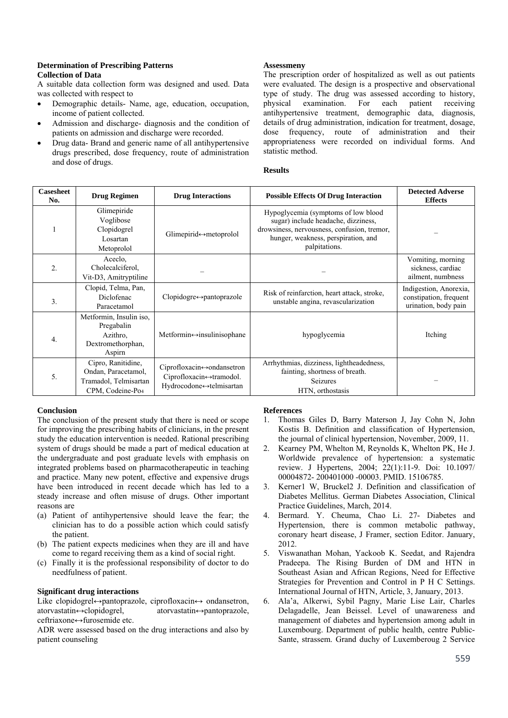## **Determination of Prescribing Patterns Collection of Data**

A suitable data collection form was designed and used. Data was collected with respect to

- Demographic details- Name, age, education, occupation, income of patient collected.
- Admission and discharge- diagnosis and the condition of patients on admission and discharge were recorded.
- Drug data- Brand and generic name of all antihypertensive drugs prescribed, dose frequency, route of administration and dose of drugs.

## **Assessmeny**

The prescription order of hospitalized as well as out patients were evaluated. The design is a prospective and observational type of study. The drug was assessed according to history, physical examination. For each patient receiving antihypertensive treatment, demographic data, diagnosis, details of drug administration, indication for treatment, dosage, dose frequency, route of administration and their appropriateness were recorded on individual forms. And statistic method.

### **Results**

| <b>Casesheet</b><br>No. | <b>Drug Regimen</b>                                                                                | <b>Drug Interactions</b>                                                        | <b>Possible Effects Of Drug Interaction</b>                                                                                                                                       | <b>Detected Adverse</b><br><b>Effects</b>                                |
|-------------------------|----------------------------------------------------------------------------------------------------|---------------------------------------------------------------------------------|-----------------------------------------------------------------------------------------------------------------------------------------------------------------------------------|--------------------------------------------------------------------------|
|                         | Glimepiride<br>Voglibose<br>Clopidogrel<br>Losartan<br>Metoprolol                                  | Glimepirid↔metoprolol                                                           | Hypoglycemia (symptoms of low blood<br>sugar) include headache, dizziness,<br>drowsiness, nervousness, confusion, tremor,<br>hunger, weakness, perspiration, and<br>palpitations. |                                                                          |
| 2.                      | Aceclo,<br>Cholecalciferol.<br>Vit-D3, Amitryptiline                                               |                                                                                 |                                                                                                                                                                                   | Vomiting, morning<br>sickness, cardiac<br>ailment, numbness              |
| 3.                      | Clopid, Telma, Pan,<br>Diclofenac<br>Paracetamol                                                   | $Clopidogre \leftrightarrow$ pantoprazole                                       | Risk of reinfarction, heart attack, stroke,<br>unstable angina, revascularization                                                                                                 | Indigestion, Anorexia,<br>constipation, frequent<br>urination, body pain |
| $\overline{4}$ .        | Metformin, Insulin iso,<br>Pregabalin<br>Azithro.<br>Dextromethorphan,<br>Aspirn                   | Metformin $\leftrightarrow$ insulinisophane                                     | hypoglycemia                                                                                                                                                                      | Itching                                                                  |
| 5.                      | Cipro, Ranitidine,<br>Ondan, Paracetamol,<br>Tramadol, Telmisartan<br>CPM, Codeine-Po <sub>4</sub> | Ciprofloxacin⇔ondansetron<br>Ciprofloxacin⇔tramodol.<br>Hydrocodone↔telmisartan | Arrhythmias, dizziness, lightheadedness,<br>fainting, shortness of breath.<br><b>Seizures</b><br>HTN, orthostasis                                                                 |                                                                          |

# **Conclusion**

The conclusion of the present study that there is need or scope for improving the prescribing habits of clinicians, in the present study the education intervention is needed. Rational prescribing system of drugs should be made a part of medical education at the undergraduate and post graduate levels with emphasis on integrated problems based on pharmacotherapeutic in teaching and practice. Many new potent, effective and expensive drugs have been introduced in recent decade which has led to a steady increase and often misuse of drugs. Other important reasons are

- (a) Patient of antihypertensive should leave the fear; the clinician has to do a possible action which could satisfy the patient.
- (b) The patient expects medicines when they are ill and have come to regard receiving them as a kind of social right.
- (c) Finally it is the professional responsibility of doctor to do needfulness of patient.

## **Significant drug interactions**

Like clopidogrel⇔pantoprazole, ciprofloxacin⇔ ondansetron, atorvastatin⇔clopidogrel, atorvastatin⇔pantoprazole,  $atorvastatin \leftrightarrow$ pantoprazole, ceftriaxone↔furosemide etc.

ADR were assessed based on the drug interactions and also by patient counseling

### **References**

- 1. Thomas Giles D, Barry Materson J, Jay Cohn N, John Kostis B. Definition and classification of Hypertension, the journal of clinical hypertension, November, 2009, 11.
- 2. Kearney PM, Whelton M, Reynolds K, Whelton PK, He J. Worldwide prevalence of hypertension: a systematic review. J Hypertens, 2004; 22(1):11-9. Doi: 10.1097/ 00004872- 200401000 -00003. PMID. 15106785.
- 3. Kerner1 W, Bruckel2 J. Definition and classification of Diabetes Mellitus. German Diabetes Association, Clinical Practice Guidelines, March, 2014.
- 4. Bermard. Y. Cheuma, Chao Li. 27- Diabetes and Hypertension, there is common metabolic pathway, coronary heart disease, J Framer, section Editor. January, 2012.
- 5. Viswanathan Mohan, Yackoob K. Seedat, and Rajendra Pradeepa. The Rising Burden of DM and HTN in Southeast Asian and African Regions, Need for Effective Strategies for Prevention and Control in P H C Settings. International Journal of HTN, Article, 3, January, 2013.
- 6. Ala'a, Alkerwi, Sybil Pagny, Marie Lise Lair, Charles Delagadelle, Jean Beissel. Level of unawareness and management of diabetes and hypertension among adult in Luxembourg. Department of public health, centre Public-Sante, strassem. Grand duchy of Luxemberoug 2 Service